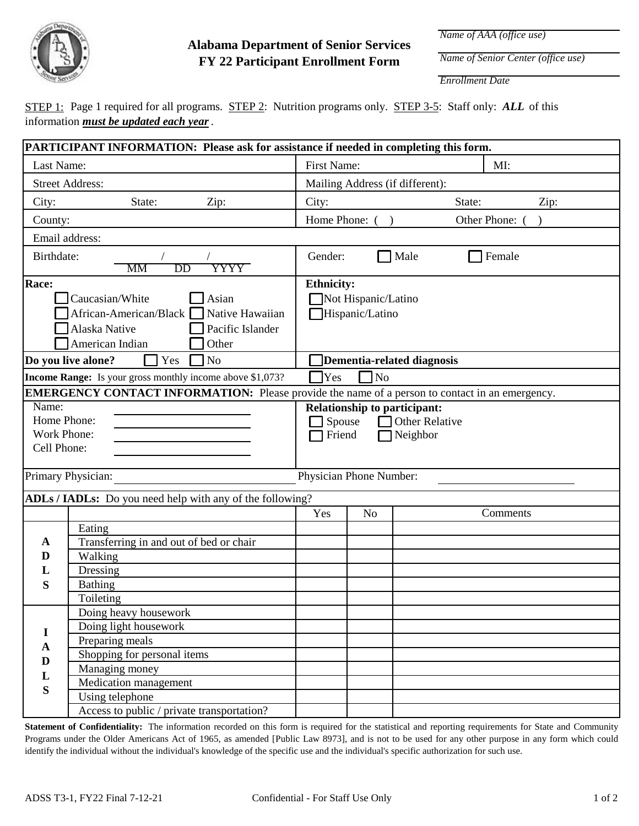

## **FY 22 Participant Enrollment Form Alabama Department of Senior Services**

*Name of AAA (office use)*

*Name of Senior Center (office use)*

*Enrollment Date*

STEP 1: Page 1 required for all programs. STEP 2: Nutrition programs only. STEP 3-5: Staff only: *ALL* of this information *must be updated each year*.

|                                                                                                                                                             | PARTICIPANT INFORMATION: Please ask for assistance if needed in completing this form.                                                                          |                           |                                                                                                                   |                            |        |                 |      |  |
|-------------------------------------------------------------------------------------------------------------------------------------------------------------|----------------------------------------------------------------------------------------------------------------------------------------------------------------|---------------------------|-------------------------------------------------------------------------------------------------------------------|----------------------------|--------|-----------------|------|--|
| Last Name:                                                                                                                                                  |                                                                                                                                                                | <b>First Name:</b><br>MI: |                                                                                                                   |                            |        |                 |      |  |
| <b>Street Address:</b>                                                                                                                                      | Mailing Address (if different):                                                                                                                                |                           |                                                                                                                   |                            |        |                 |      |  |
| City:                                                                                                                                                       | State:<br>Zip:                                                                                                                                                 | City:                     |                                                                                                                   |                            | State: |                 | Zip: |  |
| County:                                                                                                                                                     |                                                                                                                                                                |                           | Home Phone: ()<br>Other Phone: (                                                                                  |                            |        |                 |      |  |
|                                                                                                                                                             | Email address:                                                                                                                                                 |                           |                                                                                                                   |                            |        |                 |      |  |
| Birthdate:                                                                                                                                                  | YYYY<br>DD<br>МM                                                                                                                                               | Gender:                   |                                                                                                                   | Male                       |        | <b>T</b> Female |      |  |
| Race:                                                                                                                                                       | Caucasian/White<br>Asian<br>African-American/Black<br>Native Hawaiian<br>Pacific Islander<br>Alaska Native<br>American Indian<br>Other                         | <b>Ethnicity:</b>         | Not Hispanic/Latino<br>Hispanic/Latino                                                                            |                            |        |                 |      |  |
|                                                                                                                                                             | Yes<br>N <sub>o</sub><br>Do you live alone?                                                                                                                    |                           |                                                                                                                   | Dementia-related diagnosis |        |                 |      |  |
|                                                                                                                                                             | Income Range: Is your gross monthly income above \$1,073?                                                                                                      | Yes                       | $\ln$                                                                                                             |                            |        |                 |      |  |
| <b>EMERGENCY CONTACT INFORMATION:</b> Please provide the name of a person to contact in an emergency.<br>Name:<br>Home Phone:<br>Work Phone:<br>Cell Phone: |                                                                                                                                                                |                           | <b>Relationship to participant:</b><br>Other Relative<br>Spouse<br>$\sqsupset$ Friend<br>Neighbor<br><b>I</b> and |                            |        |                 |      |  |
| Primary Physician:                                                                                                                                          |                                                                                                                                                                |                           | Physician Phone Number:                                                                                           |                            |        |                 |      |  |
|                                                                                                                                                             | ADLs / IADLs: Do you need help with any of the following?                                                                                                      |                           |                                                                                                                   |                            |        |                 |      |  |
|                                                                                                                                                             |                                                                                                                                                                | Yes                       | N <sub>o</sub>                                                                                                    |                            |        | Comments        |      |  |
| $\mathbf{A}$<br>D<br>L<br>S                                                                                                                                 | Eating<br>Transferring in and out of bed or chair<br>Walking<br>Dressing<br><b>Bathing</b><br>Toileting                                                        |                           |                                                                                                                   |                            |        |                 |      |  |
| I<br>$\mathbf{A}$<br>$\mathbf{D}$<br>$\mathbf{L}$<br>S                                                                                                      | Doing heavy housework<br>Doing light housework<br>Preparing meals<br>Shopping for personal items<br>Managing money<br>Medication management<br>Using telephone |                           |                                                                                                                   |                            |        |                 |      |  |
|                                                                                                                                                             | Access to public / private transportation?                                                                                                                     |                           |                                                                                                                   |                            |        |                 |      |  |

**Statement of Confidentiality:** The information recorded on this form is required for the statistical and reporting requirements for State and Community Programs under the Older Americans Act of 1965, as amended [Public Law 8973], and is not to be used for any other purpose in any form which could identify the individual without the individual's knowledge of the specific use and the individual's specific authorization for such use.